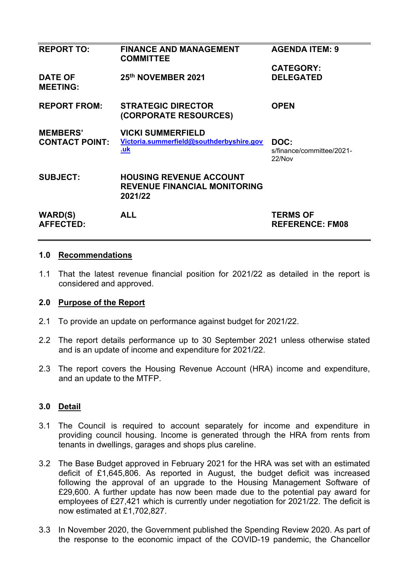| <b>REPORT TO:</b>                  | <b>FINANCE AND MANAGEMENT</b><br><b>COMMITTEE</b>                                | <b>AGENDA ITEM: 9</b>                       |
|------------------------------------|----------------------------------------------------------------------------------|---------------------------------------------|
|                                    |                                                                                  | <b>CATEGORY:</b>                            |
| <b>DATE OF</b><br><b>MEETING:</b>  | 25th NOVEMBER 2021                                                               | <b>DELEGATED</b>                            |
| <b>REPORT FROM:</b>                | <b>STRATEGIC DIRECTOR</b><br>(CORPORATE RESOURCES)                               | <b>OPEN</b>                                 |
| <b>MEMBERS'</b>                    | <b>VICKI SUMMERFIELD</b>                                                         |                                             |
| <b>CONTACT POINT:</b>              | Victoria.summerfield@southderbyshire.gov<br><u>.uk</u>                           | DOC:<br>s/finance/committee/2021-<br>22/Nov |
| <b>SUBJECT:</b>                    | <b>HOUSING REVENUE ACCOUNT</b><br><b>REVENUE FINANCIAL MONITORING</b><br>2021/22 |                                             |
| <b>WARD(S)</b><br><b>AFFECTED:</b> | <b>ALL</b>                                                                       | <b>TERMS OF</b><br><b>REFERENCE: FM08</b>   |

# **1.0 Recommendations**

1.1 That the latest revenue financial position for 2021/22 as detailed in the report is considered and approved.

# **2.0 Purpose of the Report**

- 2.1 To provide an update on performance against budget for 2021/22.
- 2.2 The report details performance up to 30 September 2021 unless otherwise stated and is an update of income and expenditure for 2021/22.
- 2.3 The report covers the Housing Revenue Account (HRA) income and expenditure, and an update to the MTFP.

# **3.0 Detail**

- 3.1 The Council is required to account separately for income and expenditure in providing council housing. Income is generated through the HRA from rents from tenants in dwellings, garages and shops plus careline.
- 3.2 The Base Budget approved in February 2021 for the HRA was set with an estimated deficit of £1,645,806. As reported in August, the budget deficit was increased following the approval of an upgrade to the Housing Management Software of £29,600. A further update has now been made due to the potential pay award for employees of £27,421 which is currently under negotiation for 2021/22. The deficit is now estimated at £1,702,827.
- 3.3 In November 2020, the Government published the Spending Review 2020. As part of the response to the economic impact of the COVID-19 pandemic, the Chancellor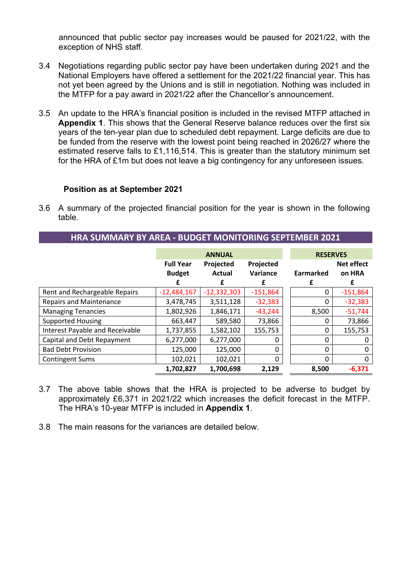announced that public sector pay increases would be paused for 2021/22, with the exception of NHS staff.

- 3.4 Negotiations regarding public sector pay have been undertaken during 2021 and the National Employers have offered a settlement for the 2021/22 financial year. This has not yet been agreed by the Unions and is still in negotiation. Nothing was included in the MTFP for a pay award in 2021/22 after the Chancellor's announcement.
- 3.5 An update to the HRA's financial position is included in the revised MTFP attached in **Appendix 1**. This shows that the General Reserve balance reduces over the first six years of the ten-year plan due to scheduled debt repayment. Large deficits are due to be funded from the reserve with the lowest point being reached in 2026/27 where the estimated reserve falls to £1,116,514. This is greater than the statutory minimum set for the HRA of £1m but does not leave a big contingency for any unforeseen issues.

#### **Position as at September 2021**

3.6 A summary of the projected financial position for the year is shown in the following table.

**HRA SUMMARY BY AREA - BUDGET MONITORING SEPTEMBER 2021** 

|                                 |                                   | <b>ANNUAL</b>              | <b>RESERVES</b>       |           |                             |  |
|---------------------------------|-----------------------------------|----------------------------|-----------------------|-----------|-----------------------------|--|
|                                 | <b>Full Year</b><br><b>Budget</b> | Projected<br><b>Actual</b> | Projected<br>Variance | Earmarked | <b>Net effect</b><br>on HRA |  |
|                                 |                                   |                            | f                     | £         | £                           |  |
| Rent and Rechargeable Repairs   | $-12,484,167$                     | $-12,332,303$              | $-151,864$            | 0         | $-151,864$                  |  |
| <b>Repairs and Maintenance</b>  | 3,478,745                         | 3,511,128                  | $-32,383$             | 0         | $-32,383$                   |  |
| <b>Managing Tenancies</b>       | 1,802,926                         | 1,846,171                  | $-43,244$             | 8,500     | $-51,744$                   |  |
| <b>Supported Housing</b>        | 663,447                           | 589,580                    | 73,866                | $\Omega$  | 73,866                      |  |
| Interest Payable and Receivable | 1,737,855                         | 1,582,102                  | 155,753               | 0         | 155,753                     |  |
| Capital and Debt Repayment      | 6,277,000                         | 6,277,000                  | 0                     | 0         |                             |  |
| <b>Bad Debt Provision</b>       | 125,000                           | 125,000                    | 0                     | 0         | 0                           |  |
| <b>Contingent Sums</b>          | 102,021                           | 102,021                    | 0                     | $\Omega$  | 0                           |  |
|                                 | 1,702,827                         | 1,700,698                  | 2,129                 | 8,500     | $-6,371$                    |  |

- 3.7 The above table shows that the HRA is projected to be adverse to budget by approximately £6,371 in 2021/22 which increases the deficit forecast in the MTFP. The HRA's 10-year MTFP is included in **Appendix 1**.
- 3.8 The main reasons for the variances are detailed below.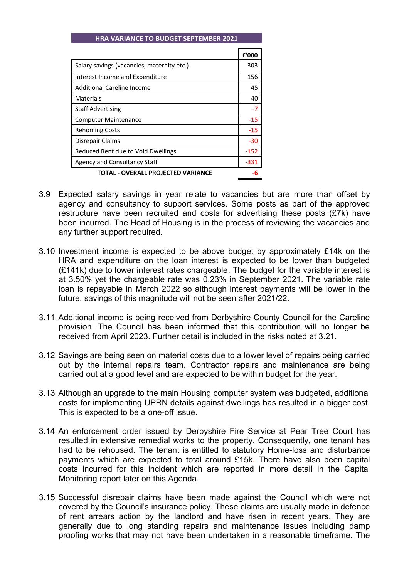#### **HRA VARIANCE TO BUDGET SEPTEMBER 2021**

|                                            | £'000  |  |
|--------------------------------------------|--------|--|
| Salary savings (vacancies, maternity etc.) | 303    |  |
| Interest Income and Expenditure            | 156    |  |
| Additional Careline Income                 | 45     |  |
| Materials                                  | 40     |  |
| <b>Staff Advertising</b>                   | $-7$   |  |
| <b>Computer Maintenance</b>                | -15    |  |
| <b>Rehoming Costs</b>                      | -15    |  |
| Disrepair Claims                           | -30    |  |
| Reduced Rent due to Void Dwellings         | $-152$ |  |
| Agency and Consultancy Staff               | $-331$ |  |
| TOTAL - OVERALL PROJECTED VARIANCE         |        |  |

- 3.9 Expected salary savings in year relate to vacancies but are more than offset by agency and consultancy to support services. Some posts as part of the approved restructure have been recruited and costs for advertising these posts (£7k) have been incurred. The Head of Housing is in the process of reviewing the vacancies and any further support required.
- 3.10 Investment income is expected to be above budget by approximately £14k on the HRA and expenditure on the loan interest is expected to be lower than budgeted (£141k) due to lower interest rates chargeable. The budget for the variable interest is at 3.50% yet the chargeable rate was 0.23% in September 2021. The variable rate loan is repayable in March 2022 so although interest payments will be lower in the future, savings of this magnitude will not be seen after 2021/22.
- 3.11 Additional income is being received from Derbyshire County Council for the Careline provision. The Council has been informed that this contribution will no longer be received from April 2023. Further detail is included in the risks noted at 3.21.
- 3.12 Savings are being seen on material costs due to a lower level of repairs being carried out by the internal repairs team. Contractor repairs and maintenance are being carried out at a good level and are expected to be within budget for the year.
- 3.13 Although an upgrade to the main Housing computer system was budgeted, additional costs for implementing UPRN details against dwellings has resulted in a bigger cost. This is expected to be a one-off issue.
- 3.14 An enforcement order issued by Derbyshire Fire Service at Pear Tree Court has resulted in extensive remedial works to the property. Consequently, one tenant has had to be rehoused. The tenant is entitled to statutory Home-loss and disturbance payments which are expected to total around £15k. There have also been capital costs incurred for this incident which are reported in more detail in the Capital Monitoring report later on this Agenda.
- 3.15 Successful disrepair claims have been made against the Council which were not covered by the Council's insurance policy. These claims are usually made in defence of rent arrears action by the landlord and have risen in recent years. They are generally due to long standing repairs and maintenance issues including damp proofing works that may not have been undertaken in a reasonable timeframe. The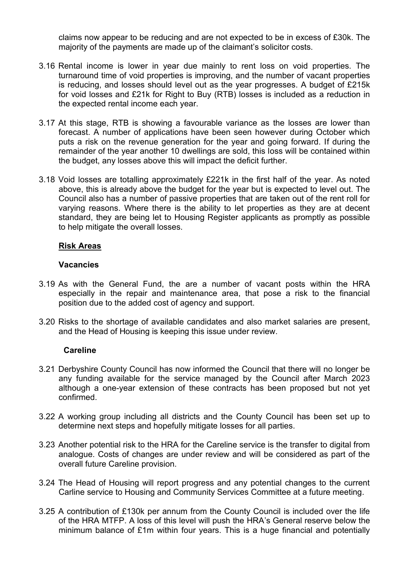claims now appear to be reducing and are not expected to be in excess of £30k. The majority of the payments are made up of the claimant's solicitor costs.

- 3.16 Rental income is lower in year due mainly to rent loss on void properties. The turnaround time of void properties is improving, and the number of vacant properties is reducing, and losses should level out as the year progresses. A budget of £215k for void losses and £21k for Right to Buy (RTB) losses is included as a reduction in the expected rental income each year.
- 3.17 At this stage, RTB is showing a favourable variance as the losses are lower than forecast. A number of applications have been seen however during October which puts a risk on the revenue generation for the year and going forward. If during the remainder of the year another 10 dwellings are sold, this loss will be contained within the budget, any losses above this will impact the deficit further.
- 3.18 Void losses are totalling approximately £221k in the first half of the year. As noted above, this is already above the budget for the year but is expected to level out. The Council also has a number of passive properties that are taken out of the rent roll for varying reasons. Where there is the ability to let properties as they are at decent standard, they are being let to Housing Register applicants as promptly as possible to help mitigate the overall losses.

# **Risk Areas**

#### **Vacancies**

- 3.19 As with the General Fund, the are a number of vacant posts within the HRA especially in the repair and maintenance area, that pose a risk to the financial position due to the added cost of agency and support.
- 3.20 Risks to the shortage of available candidates and also market salaries are present, and the Head of Housing is keeping this issue under review.

#### **Careline**

- 3.21 Derbyshire County Council has now informed the Council that there will no longer be any funding available for the service managed by the Council after March 2023 although a one-year extension of these contracts has been proposed but not yet confirmed.
- 3.22 A working group including all districts and the County Council has been set up to determine next steps and hopefully mitigate losses for all parties.
- 3.23 Another potential risk to the HRA for the Careline service is the transfer to digital from analogue. Costs of changes are under review and will be considered as part of the overall future Careline provision.
- 3.24 The Head of Housing will report progress and any potential changes to the current Carline service to Housing and Community Services Committee at a future meeting.
- 3.25 A contribution of £130k per annum from the County Council is included over the life of the HRA MTFP. A loss of this level will push the HRA's General reserve below the minimum balance of £1m within four years. This is a huge financial and potentially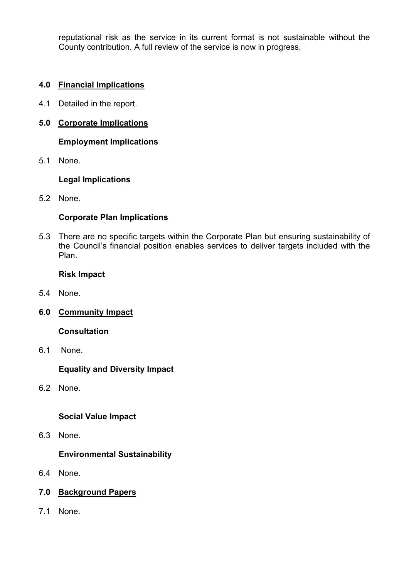reputational risk as the service in its current format is not sustainable without the County contribution. A full review of the service is now in progress.

# **4.0 Financial Implications**

4.1 Detailed in the report.

# **5.0 Corporate Implications**

**Employment Implications** 

5.1 None.

# **Legal Implications**

5.2 None.

# **Corporate Plan Implications**

5.3 There are no specific targets within the Corporate Plan but ensuring sustainability of the Council's financial position enables services to deliver targets included with the Plan.

# **Risk Impact**

- 5.4 None.
- **6.0 Community Impact**

# **Consultation**

6.1 None.

# **Equality and Diversity Impact**

6.2 None.

# **Social Value Impact**

6.3 None.

# **Environmental Sustainability**

- 6.4 None.
- **7.0 Background Papers**
- 7.1 None.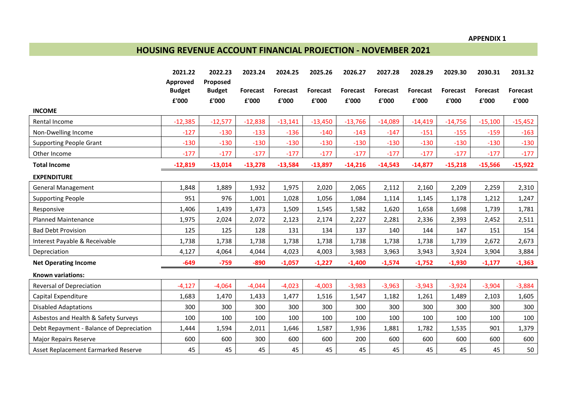#### **APPENDIX 1**

# **HOUSING REVENUE ACCOUNT FINANCIAL PROJECTION - NOVEMBER 2021**

|                                          | 2021.22                   | 2022.23                   | 2023.24   | 2024.25         | 2025.26         | 2026.27         | 2027.28   | 2028.29         | 2029.30         | 2030.31         | 2031.32         |
|------------------------------------------|---------------------------|---------------------------|-----------|-----------------|-----------------|-----------------|-----------|-----------------|-----------------|-----------------|-----------------|
|                                          | Approved<br><b>Budget</b> | Proposed<br><b>Budget</b> | Forecast  | <b>Forecast</b> | <b>Forecast</b> | <b>Forecast</b> | Forecast  | <b>Forecast</b> | <b>Forecast</b> | <b>Forecast</b> | <b>Forecast</b> |
|                                          | £'000                     | £'000                     | £'000     | £'000           | £'000           | £'000           | £'000     | £'000           | £'000           | £'000           | £'000           |
| <b>INCOME</b>                            |                           |                           |           |                 |                 |                 |           |                 |                 |                 |                 |
| Rental Income                            | $-12,385$                 | $-12,577$                 | $-12,838$ | $-13,141$       | $-13,450$       | $-13,766$       | $-14,089$ | $-14,419$       | $-14,756$       | $-15,100$       | $-15,452$       |
| Non-Dwelling Income                      | $-127$                    | $-130$                    | $-133$    | $-136$          | $-140$          | $-143$          | $-147$    | $-151$          | $-155$          | $-159$          | $-163$          |
| <b>Supporting People Grant</b>           | $-130$                    | $-130$                    | $-130$    | $-130$          | $-130$          | $-130$          | $-130$    | $-130$          | $-130$          | $-130$          | $-130$          |
| Other Income                             | $-177$                    | $-177$                    | $-177$    | $-177$          | $-177$          | $-177$          | $-177$    | $-177$          | $-177$          | $-177$          | $-177$          |
| <b>Total Income</b>                      | $-12,819$                 | $-13,014$                 | $-13,278$ | $-13,584$       | $-13,897$       | $-14,216$       | $-14,543$ | $-14,877$       | $-15,218$       | $-15,566$       | $-15,922$       |
| <b>EXPENDITURE</b>                       |                           |                           |           |                 |                 |                 |           |                 |                 |                 |                 |
| <b>General Management</b>                | 1,848                     | 1,889                     | 1,932     | 1,975           | 2,020           | 2,065           | 2,112     | 2,160           | 2,209           | 2,259           | 2,310           |
| <b>Supporting People</b>                 | 951                       | 976                       | 1,001     | 1,028           | 1,056           | 1,084           | 1,114     | 1,145           | 1,178           | 1,212           | 1,247           |
| Responsive                               | 1,406                     | 1,439                     | 1,473     | 1,509           | 1,545           | 1,582           | 1,620     | 1,658           | 1,698           | 1,739           | 1,781           |
| <b>Planned Maintenance</b>               | 1,975                     | 2,024                     | 2,072     | 2,123           | 2,174           | 2,227           | 2,281     | 2,336           | 2,393           | 2,452           | 2,511           |
| <b>Bad Debt Provision</b>                | 125                       | 125                       | 128       | 131             | 134             | 137             | 140       | 144             | 147             | 151             | 154             |
| Interest Payable & Receivable            | 1,738                     | 1,738                     | 1,738     | 1,738           | 1,738           | 1,738           | 1,738     | 1,738           | 1,739           | 2,672           | 2,673           |
| Depreciation                             | 4,127                     | 4,064                     | 4,044     | 4,023           | 4,003           | 3,983           | 3,963     | 3,943           | 3,924           | 3,904           | 3,884           |
| <b>Net Operating Income</b>              | $-649$                    | $-759$                    | $-890$    | $-1,057$        | $-1,227$        | $-1,400$        | $-1,574$  | $-1,752$        | $-1,930$        | $-1,177$        | $-1,363$        |
| <b>Known variations:</b>                 |                           |                           |           |                 |                 |                 |           |                 |                 |                 |                 |
| Reversal of Depreciation                 | $-4,127$                  | $-4,064$                  | $-4,044$  | $-4,023$        | $-4,003$        | $-3,983$        | $-3,963$  | $-3,943$        | $-3,924$        | $-3,904$        | $-3,884$        |
| Capital Expenditure                      | 1,683                     | 1,470                     | 1,433     | 1,477           | 1,516           | 1,547           | 1,182     | 1,261           | 1,489           | 2,103           | 1,605           |
| <b>Disabled Adaptations</b>              | 300                       | 300                       | 300       | 300             | 300             | 300             | 300       | 300             | 300             | 300             | 300             |
| Asbestos and Health & Safety Surveys     | 100                       | 100                       | 100       | 100             | 100             | 100             | 100       | 100             | 100             | 100             | 100             |
| Debt Repayment - Balance of Depreciation | 1,444                     | 1,594                     | 2,011     | 1,646           | 1,587           | 1,936           | 1,881     | 1,782           | 1,535           | 901             | 1,379           |
| <b>Major Repairs Reserve</b>             | 600                       | 600                       | 300       | 600             | 600             | 200             | 600       | 600             | 600             | 600             | 600             |
| Asset Replacement Earmarked Reserve      | 45                        | 45                        | 45        | 45              | 45              | 45              | 45        | 45              | 45              | 45              | 50              |